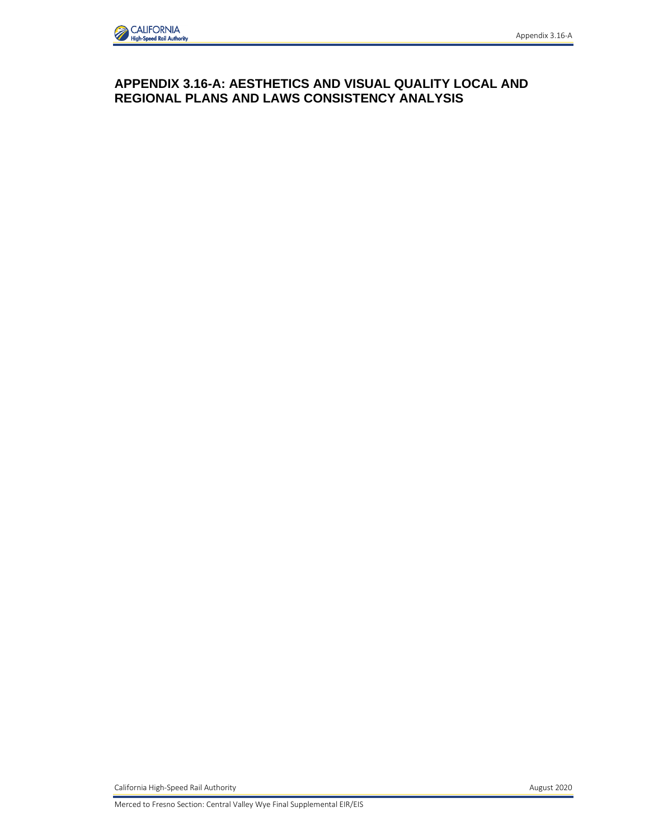# **APPENDIX 3.16-A: AESTHETICS AND VISUAL QUALITY LOCAL AND REGIONAL PLANS AND LAWS CONSISTENCY ANALYSIS**

California High-Speed Rail Authority **August 2020**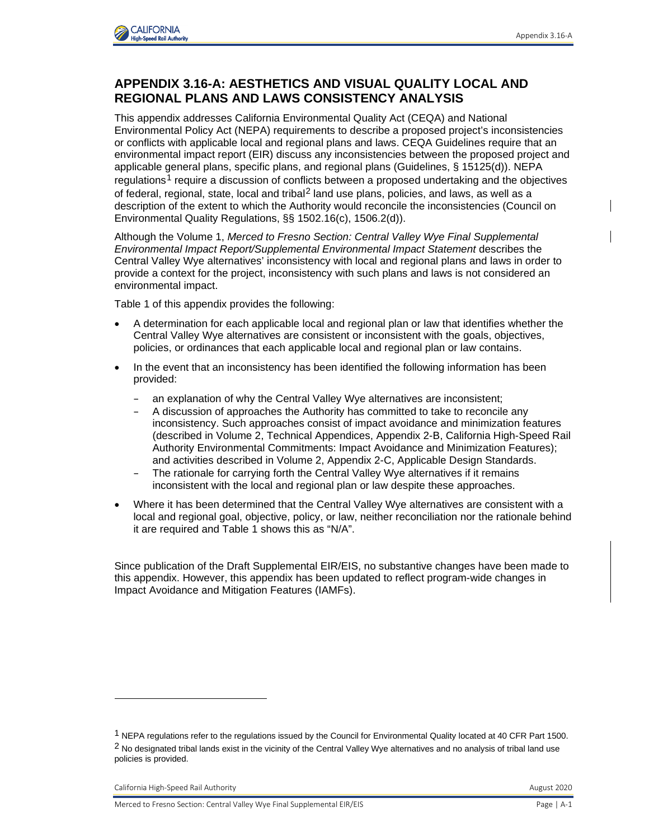

## **APPENDIX 3.16-A: AESTHETICS AND VISUAL QUALITY LOCAL AND REGIONAL PLANS AND LAWS CONSISTENCY ANALYSIS**

This appendix addresses California Environmental Quality Act (CEQA) and National Environmental Policy Act (NEPA) requirements to describe a proposed project's inconsistencies or conflicts with applicable local and regional plans and laws. CEQA Guidelines require that an environmental impact report (EIR) discuss any inconsistencies between the proposed project and applicable general plans, specific plans, and regional plans (Guidelines, § 15125(d)). NEPA regulations<sup>[1](#page-1-0)</sup> require a discussion of conflicts between a proposed undertaking and the objectives of federal, regional, state, local and tribal<sup>[2](#page-1-1)</sup> land use plans, policies, and laws, as well as a description of the extent to which the Authority would reconcile the inconsistencies (Council on Environmental Quality Regulations, §§ 1502.16(c), 1506.2(d)).

Although the Volume 1, *Merced to Fresno Section: Central Valley Wye Final Supplemental Environmental Impact Report/Supplemental Environmental Impact Statement* describes the Central Valley Wye alternatives' inconsistency with local and regional plans and laws in order to provide a context for the project, inconsistency with such plans and laws is not considered an environmental impact.

Table 1 of this appendix provides the following:

- A determination for each applicable local and regional plan or law that identifies whether the Central Valley Wye alternatives are consistent or inconsistent with the goals, objectives, policies, or ordinances that each applicable local and regional plan or law contains.
- In the event that an inconsistency has been identified the following information has been provided:
	- an explanation of why the Central Valley Wye alternatives are inconsistent;
	- A discussion of approaches the Authority has committed to take to reconcile any inconsistency. Such approaches consist of impact avoidance and minimization features (described in Volume 2, Technical Appendices, Appendix 2-B, California High-Speed Rail Authority Environmental Commitments: Impact Avoidance and Minimization Features); and activities described in Volume 2, Appendix 2-C, Applicable Design Standards.
	- The rationale for carrying forth the Central Valley Wye alternatives if it remains inconsistent with the local and regional plan or law despite these approaches.
- Where it has been determined that the Central Valley Wye alternatives are consistent with a local and regional goal, objective, policy, or law, neither reconciliation nor the rationale behind it are required and Table 1 shows this as "N/A".

Since publication of the Draft Supplemental EIR/EIS, no substantive changes have been made to this appendix. However, this appendix has been updated to reflect program-wide changes in Impact Avoidance and Mitigation Features (IAMFs).

<span id="page-1-1"></span><span id="page-1-0"></span><sup>1</sup> NEPA regulations refer to the regulations issued by the Council for Environmental Quality located at 40 CFR Part 1500.  $2$  No designated tribal lands exist in the vicinity of the Central Valley Wye alternatives and no analysis of tribal land use policies is provided.

California High-Speed Rail Authority **August 2020** California High-Speed Rail Authority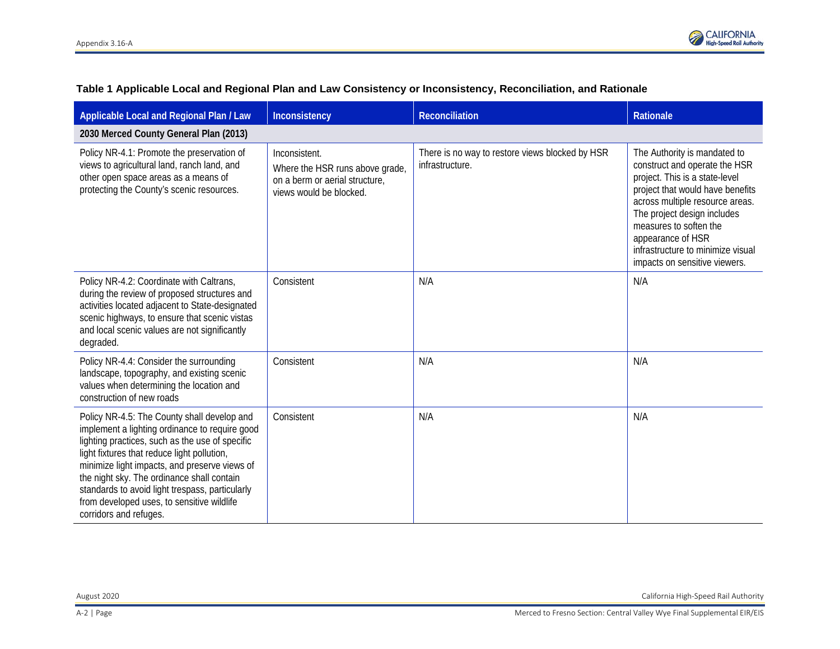

| Applicable Local and Regional Plan / Law                                                                                                                                                                                                                                                                                                                                                                                  | Inconsistency                                                                                                 | Reconciliation                                                     | <b>Rationale</b>                                                                                                                                                                                                                                                                                                           |
|---------------------------------------------------------------------------------------------------------------------------------------------------------------------------------------------------------------------------------------------------------------------------------------------------------------------------------------------------------------------------------------------------------------------------|---------------------------------------------------------------------------------------------------------------|--------------------------------------------------------------------|----------------------------------------------------------------------------------------------------------------------------------------------------------------------------------------------------------------------------------------------------------------------------------------------------------------------------|
| 2030 Merced County General Plan (2013)                                                                                                                                                                                                                                                                                                                                                                                    |                                                                                                               |                                                                    |                                                                                                                                                                                                                                                                                                                            |
| Policy NR-4.1: Promote the preservation of<br>views to agricultural land, ranch land, and<br>other open space areas as a means of<br>protecting the County's scenic resources.                                                                                                                                                                                                                                            | Inconsistent.<br>Where the HSR runs above grade,<br>on a berm or aerial structure,<br>views would be blocked. | There is no way to restore views blocked by HSR<br>infrastructure. | The Authority is mandated to<br>construct and operate the HSR<br>project. This is a state-level<br>project that would have benefits<br>across multiple resource areas.<br>The project design includes<br>measures to soften the<br>appearance of HSR<br>infrastructure to minimize visual<br>impacts on sensitive viewers. |
| Policy NR-4.2: Coordinate with Caltrans,<br>during the review of proposed structures and<br>activities located adjacent to State-designated<br>scenic highways, to ensure that scenic vistas<br>and local scenic values are not significantly<br>degraded.                                                                                                                                                                | Consistent                                                                                                    | N/A                                                                | N/A                                                                                                                                                                                                                                                                                                                        |
| Policy NR-4.4: Consider the surrounding<br>landscape, topography, and existing scenic<br>values when determining the location and<br>construction of new roads                                                                                                                                                                                                                                                            | Consistent                                                                                                    | N/A                                                                | N/A                                                                                                                                                                                                                                                                                                                        |
| Policy NR-4.5: The County shall develop and<br>implement a lighting ordinance to require good<br>lighting practices, such as the use of specific<br>light fixtures that reduce light pollution,<br>minimize light impacts, and preserve views of<br>the night sky. The ordinance shall contain<br>standards to avoid light trespass, particularly<br>from developed uses, to sensitive wildlife<br>corridors and refuges. | Consistent                                                                                                    | N/A                                                                | N/A                                                                                                                                                                                                                                                                                                                        |

#### **Table 1 Applicable Local and Regional Plan and Law Consistency or Inconsistency, Reconciliation, and Rationale**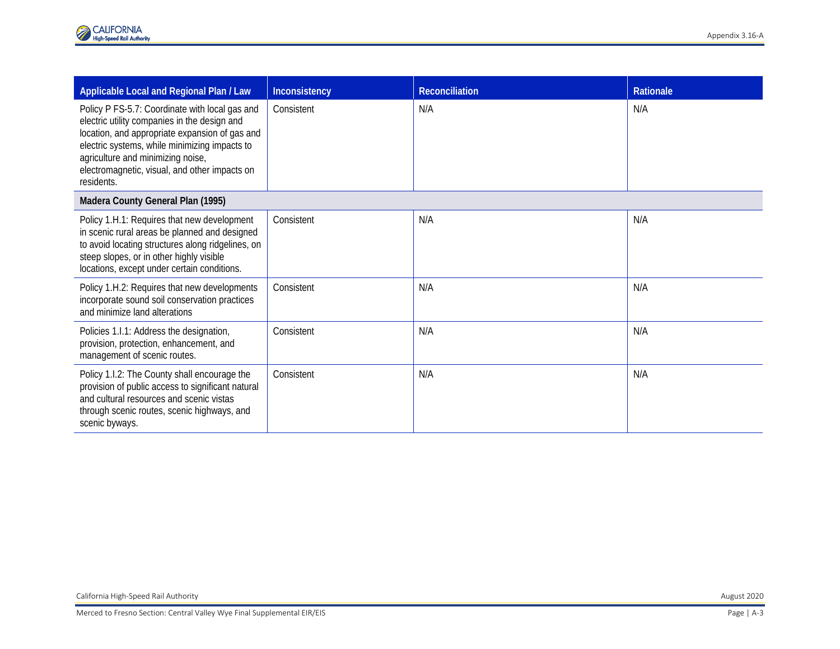| Applicable Local and Regional Plan / Law                                                                                                                                                                                                                                                              | Inconsistency | Reconciliation | <b>Rationale</b> |
|-------------------------------------------------------------------------------------------------------------------------------------------------------------------------------------------------------------------------------------------------------------------------------------------------------|---------------|----------------|------------------|
| Policy P FS-5.7: Coordinate with local gas and<br>electric utility companies in the design and<br>location, and appropriate expansion of gas and<br>electric systems, while minimizing impacts to<br>agriculture and minimizing noise,<br>electromagnetic, visual, and other impacts on<br>residents. | Consistent    | N/A            | N/A              |
| Madera County General Plan (1995)                                                                                                                                                                                                                                                                     |               |                |                  |
| Policy 1.H.1: Requires that new development<br>in scenic rural areas be planned and designed<br>to avoid locating structures along ridgelines, on<br>steep slopes, or in other highly visible<br>locations, except under certain conditions.                                                          | Consistent    | N/A            | N/A              |
| Policy 1.H.2: Requires that new developments<br>incorporate sound soil conservation practices<br>and minimize land alterations                                                                                                                                                                        | Consistent    | N/A            | N/A              |
| Policies 1.1.1: Address the designation,<br>provision, protection, enhancement, and<br>management of scenic routes.                                                                                                                                                                                   | Consistent    | N/A            | N/A              |
| Policy 1.1.2: The County shall encourage the<br>provision of public access to significant natural<br>and cultural resources and scenic vistas<br>through scenic routes, scenic highways, and<br>scenic byways.                                                                                        | Consistent    | N/A            | N/A              |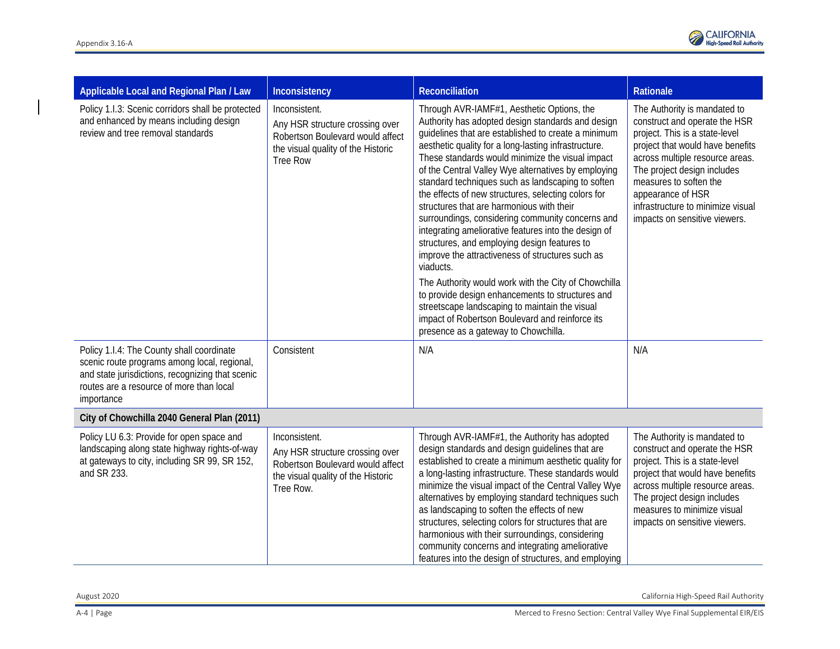

| Applicable Local and Regional Plan / Law                                                                                                                                                                | Inconsistency                                                                                                                                 | <b>Reconciliation</b>                                                                                                                                                                                                                                                                                                                                                                                                                                                                                                                                                                                                                                                                                                                                                                                                                                                                                                                                                    | Rationale                                                                                                                                                                                                                                                                                                                  |
|---------------------------------------------------------------------------------------------------------------------------------------------------------------------------------------------------------|-----------------------------------------------------------------------------------------------------------------------------------------------|--------------------------------------------------------------------------------------------------------------------------------------------------------------------------------------------------------------------------------------------------------------------------------------------------------------------------------------------------------------------------------------------------------------------------------------------------------------------------------------------------------------------------------------------------------------------------------------------------------------------------------------------------------------------------------------------------------------------------------------------------------------------------------------------------------------------------------------------------------------------------------------------------------------------------------------------------------------------------|----------------------------------------------------------------------------------------------------------------------------------------------------------------------------------------------------------------------------------------------------------------------------------------------------------------------------|
| Policy 1.1.3: Scenic corridors shall be protected<br>and enhanced by means including design<br>review and tree removal standards                                                                        | Inconsistent.<br>Any HSR structure crossing over<br>Robertson Boulevard would affect<br>the visual quality of the Historic<br><b>Tree Row</b> | Through AVR-IAMF#1, Aesthetic Options, the<br>Authority has adopted design standards and design<br>guidelines that are established to create a minimum<br>aesthetic quality for a long-lasting infrastructure.<br>These standards would minimize the visual impact<br>of the Central Valley Wye alternatives by employing<br>standard techniques such as landscaping to soften<br>the effects of new structures, selecting colors for<br>structures that are harmonious with their<br>surroundings, considering community concerns and<br>integrating ameliorative features into the design of<br>structures, and employing design features to<br>improve the attractiveness of structures such as<br>viaducts.<br>The Authority would work with the City of Chowchilla<br>to provide design enhancements to structures and<br>streetscape landscaping to maintain the visual<br>impact of Robertson Boulevard and reinforce its<br>presence as a gateway to Chowchilla. | The Authority is mandated to<br>construct and operate the HSR<br>project. This is a state-level<br>project that would have benefits<br>across multiple resource areas.<br>The project design includes<br>measures to soften the<br>appearance of HSR<br>infrastructure to minimize visual<br>impacts on sensitive viewers. |
| Policy 1.I.4: The County shall coordinate<br>scenic route programs among local, regional,<br>and state jurisdictions, recognizing that scenic<br>routes are a resource of more than local<br>importance | Consistent                                                                                                                                    | N/A                                                                                                                                                                                                                                                                                                                                                                                                                                                                                                                                                                                                                                                                                                                                                                                                                                                                                                                                                                      | N/A                                                                                                                                                                                                                                                                                                                        |
| City of Chowchilla 2040 General Plan (2011)                                                                                                                                                             |                                                                                                                                               |                                                                                                                                                                                                                                                                                                                                                                                                                                                                                                                                                                                                                                                                                                                                                                                                                                                                                                                                                                          |                                                                                                                                                                                                                                                                                                                            |
| Policy LU 6.3: Provide for open space and<br>landscaping along state highway rights-of-way<br>at gateways to city, including SR 99, SR 152,<br>and SR 233.                                              | Inconsistent.<br>Any HSR structure crossing over<br>Robertson Boulevard would affect<br>the visual quality of the Historic<br>Tree Row.       | Through AVR-IAMF#1, the Authority has adopted<br>design standards and design guidelines that are<br>established to create a minimum aesthetic quality for<br>a long-lasting infrastructure. These standards would<br>minimize the visual impact of the Central Valley Wye<br>alternatives by employing standard techniques such<br>as landscaping to soften the effects of new<br>structures, selecting colors for structures that are<br>harmonious with their surroundings, considering<br>community concerns and integrating ameliorative<br>features into the design of structures, and employing                                                                                                                                                                                                                                                                                                                                                                    | The Authority is mandated to<br>construct and operate the HSR<br>project. This is a state-level<br>project that would have benefits<br>across multiple resource areas.<br>The project design includes<br>measures to minimize visual<br>impacts on sensitive viewers.                                                      |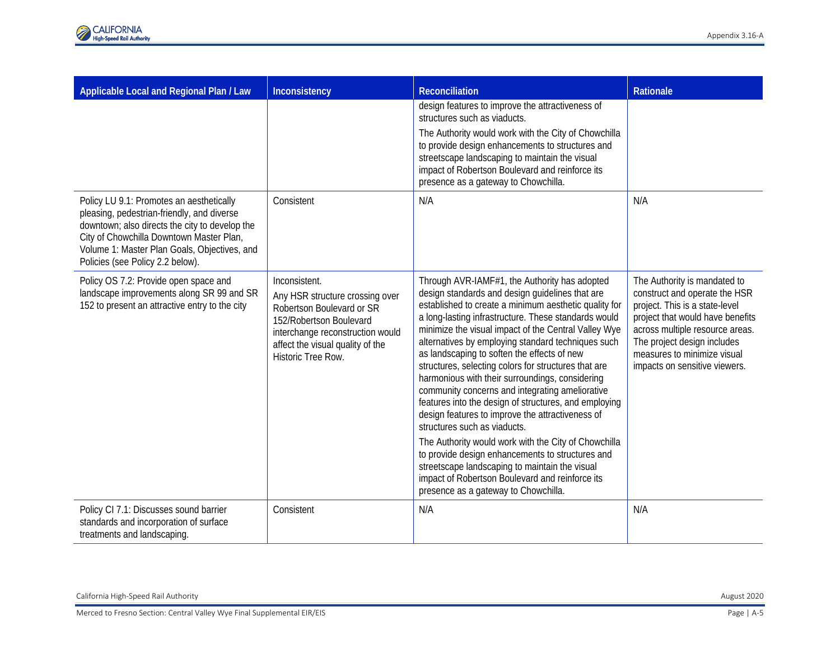| Applicable Local and Regional Plan / Law                                                                                                                                                                                                                                 | Inconsistency                                                                                                                                                                                          | <b>Reconciliation</b>                                                                                                                                                                                                                                                                                                                                                                                                                                                                                                                                                                                                                                                                                                                                                                                                                                                                                                                              | <b>Rationale</b>                                                                                                                                                                                                                                                      |
|--------------------------------------------------------------------------------------------------------------------------------------------------------------------------------------------------------------------------------------------------------------------------|--------------------------------------------------------------------------------------------------------------------------------------------------------------------------------------------------------|----------------------------------------------------------------------------------------------------------------------------------------------------------------------------------------------------------------------------------------------------------------------------------------------------------------------------------------------------------------------------------------------------------------------------------------------------------------------------------------------------------------------------------------------------------------------------------------------------------------------------------------------------------------------------------------------------------------------------------------------------------------------------------------------------------------------------------------------------------------------------------------------------------------------------------------------------|-----------------------------------------------------------------------------------------------------------------------------------------------------------------------------------------------------------------------------------------------------------------------|
|                                                                                                                                                                                                                                                                          |                                                                                                                                                                                                        | design features to improve the attractiveness of<br>structures such as viaducts.<br>The Authority would work with the City of Chowchilla<br>to provide design enhancements to structures and<br>streetscape landscaping to maintain the visual<br>impact of Robertson Boulevard and reinforce its<br>presence as a gateway to Chowchilla.                                                                                                                                                                                                                                                                                                                                                                                                                                                                                                                                                                                                          |                                                                                                                                                                                                                                                                       |
| Policy LU 9.1: Promotes an aesthetically<br>pleasing, pedestrian-friendly, and diverse<br>downtown; also directs the city to develop the<br>City of Chowchilla Downtown Master Plan,<br>Volume 1: Master Plan Goals, Objectives, and<br>Policies (see Policy 2.2 below). | Consistent                                                                                                                                                                                             | N/A                                                                                                                                                                                                                                                                                                                                                                                                                                                                                                                                                                                                                                                                                                                                                                                                                                                                                                                                                | N/A                                                                                                                                                                                                                                                                   |
| Policy OS 7.2: Provide open space and<br>landscape improvements along SR 99 and SR<br>152 to present an attractive entry to the city                                                                                                                                     | Inconsistent.<br>Any HSR structure crossing over<br>Robertson Boulevard or SR<br>152/Robertson Boulevard<br>interchange reconstruction would<br>affect the visual quality of the<br>Historic Tree Row. | Through AVR-IAMF#1, the Authority has adopted<br>design standards and design guidelines that are<br>established to create a minimum aesthetic quality for<br>a long-lasting infrastructure. These standards would<br>minimize the visual impact of the Central Valley Wye<br>alternatives by employing standard techniques such<br>as landscaping to soften the effects of new<br>structures, selecting colors for structures that are<br>harmonious with their surroundings, considering<br>community concerns and integrating ameliorative<br>features into the design of structures, and employing<br>design features to improve the attractiveness of<br>structures such as viaducts.<br>The Authority would work with the City of Chowchilla<br>to provide design enhancements to structures and<br>streetscape landscaping to maintain the visual<br>impact of Robertson Boulevard and reinforce its<br>presence as a gateway to Chowchilla. | The Authority is mandated to<br>construct and operate the HSR<br>project. This is a state-level<br>project that would have benefits<br>across multiple resource areas.<br>The project design includes<br>measures to minimize visual<br>impacts on sensitive viewers. |
| Policy CI 7.1: Discusses sound barrier<br>standards and incorporation of surface<br>treatments and landscaping.                                                                                                                                                          | Consistent                                                                                                                                                                                             | N/A                                                                                                                                                                                                                                                                                                                                                                                                                                                                                                                                                                                                                                                                                                                                                                                                                                                                                                                                                | N/A                                                                                                                                                                                                                                                                   |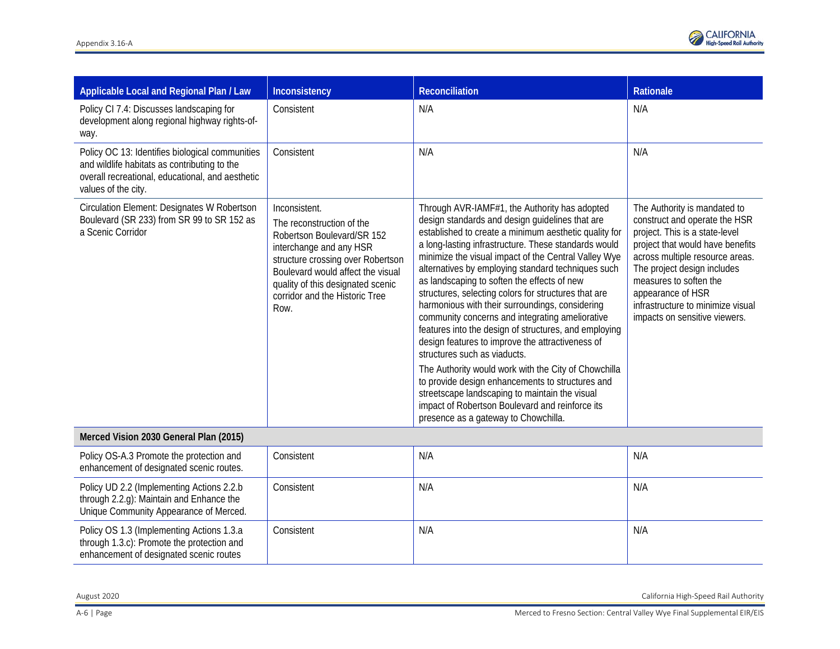

| Applicable Local and Regional Plan / Law                                                                                                                                   | Inconsistency                                                                                                                                                                                                                                                | Reconciliation                                                                                                                                                                                                                                                                                                                                                                                                                                                                                                                                                                                                                                                                                                                                                                                                                                                                                                                                     | Rationale                                                                                                                                                                                                                                                                                                                  |
|----------------------------------------------------------------------------------------------------------------------------------------------------------------------------|--------------------------------------------------------------------------------------------------------------------------------------------------------------------------------------------------------------------------------------------------------------|----------------------------------------------------------------------------------------------------------------------------------------------------------------------------------------------------------------------------------------------------------------------------------------------------------------------------------------------------------------------------------------------------------------------------------------------------------------------------------------------------------------------------------------------------------------------------------------------------------------------------------------------------------------------------------------------------------------------------------------------------------------------------------------------------------------------------------------------------------------------------------------------------------------------------------------------------|----------------------------------------------------------------------------------------------------------------------------------------------------------------------------------------------------------------------------------------------------------------------------------------------------------------------------|
| Policy CI 7.4: Discusses landscaping for<br>development along regional highway rights-of-<br>way.                                                                          | Consistent                                                                                                                                                                                                                                                   | N/A                                                                                                                                                                                                                                                                                                                                                                                                                                                                                                                                                                                                                                                                                                                                                                                                                                                                                                                                                | N/A                                                                                                                                                                                                                                                                                                                        |
| Policy OC 13: Identifies biological communities<br>and wildlife habitats as contributing to the<br>overall recreational, educational, and aesthetic<br>values of the city. | Consistent                                                                                                                                                                                                                                                   | N/A                                                                                                                                                                                                                                                                                                                                                                                                                                                                                                                                                                                                                                                                                                                                                                                                                                                                                                                                                | N/A                                                                                                                                                                                                                                                                                                                        |
| Circulation Element: Designates W Robertson<br>Boulevard (SR 233) from SR 99 to SR 152 as<br>a Scenic Corridor                                                             | Inconsistent.<br>The reconstruction of the<br>Robertson Boulevard/SR 152<br>interchange and any HSR<br>structure crossing over Robertson<br>Boulevard would affect the visual<br>quality of this designated scenic<br>corridor and the Historic Tree<br>Row. | Through AVR-IAMF#1, the Authority has adopted<br>design standards and design guidelines that are<br>established to create a minimum aesthetic quality for<br>a long-lasting infrastructure. These standards would<br>minimize the visual impact of the Central Valley Wye<br>alternatives by employing standard techniques such<br>as landscaping to soften the effects of new<br>structures, selecting colors for structures that are<br>harmonious with their surroundings, considering<br>community concerns and integrating ameliorative<br>features into the design of structures, and employing<br>design features to improve the attractiveness of<br>structures such as viaducts.<br>The Authority would work with the City of Chowchilla<br>to provide design enhancements to structures and<br>streetscape landscaping to maintain the visual<br>impact of Robertson Boulevard and reinforce its<br>presence as a gateway to Chowchilla. | The Authority is mandated to<br>construct and operate the HSR<br>project. This is a state-level<br>project that would have benefits<br>across multiple resource areas.<br>The project design includes<br>measures to soften the<br>appearance of HSR<br>infrastructure to minimize visual<br>impacts on sensitive viewers. |

### **Merced Vision 2030 General Plan (2015)**

| Policy OS-A.3 Promote the protection and<br>enhancement of designated scenic routes.                                                | Consistent | N/A | N/A |
|-------------------------------------------------------------------------------------------------------------------------------------|------------|-----|-----|
| Policy UD 2.2 (Implementing Actions 2.2.b)<br>through 2.2.g): Maintain and Enhance the<br>Unique Community Appearance of Merced.    | Consistent | N/A | N/A |
| Policy OS 1.3 (Implementing Actions 1.3.a)<br>through 1.3.c): Promote the protection and<br>enhancement of designated scenic routes | Consistent | N/A | N/A |

August 2020 California High-Speed Rail Authority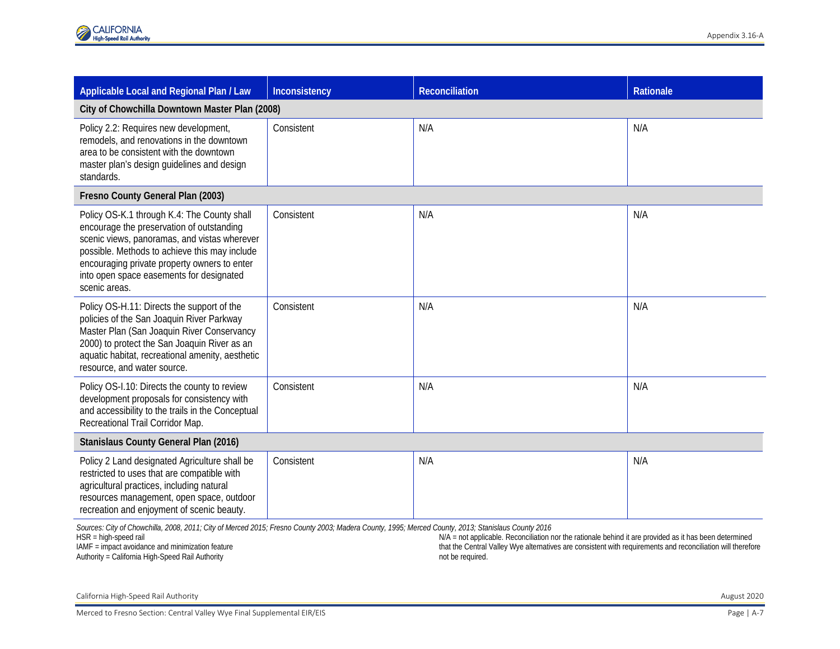| Applicable Local and Regional Plan / Law                                                                                                                                                                                                                                                                                                                                                   | Inconsistency | Reconciliation | <b>Rationale</b> |
|--------------------------------------------------------------------------------------------------------------------------------------------------------------------------------------------------------------------------------------------------------------------------------------------------------------------------------------------------------------------------------------------|---------------|----------------|------------------|
| City of Chowchilla Downtown Master Plan (2008)                                                                                                                                                                                                                                                                                                                                             |               |                |                  |
| Policy 2.2: Requires new development,<br>remodels, and renovations in the downtown<br>area to be consistent with the downtown<br>master plan's design guidelines and design<br>standards.                                                                                                                                                                                                  | Consistent    | N/A            | N/A              |
| Fresno County General Plan (2003)                                                                                                                                                                                                                                                                                                                                                          |               |                |                  |
| Policy OS-K.1 through K.4: The County shall<br>encourage the preservation of outstanding<br>scenic views, panoramas, and vistas wherever<br>possible. Methods to achieve this may include<br>encouraging private property owners to enter<br>into open space easements for designated<br>scenic areas.                                                                                     | Consistent    | N/A            | N/A              |
| Policy OS-H.11: Directs the support of the<br>policies of the San Joaquin River Parkway<br>Master Plan (San Joaquin River Conservancy<br>2000) to protect the San Joaquin River as an<br>aquatic habitat, recreational amenity, aesthetic<br>resource, and water source.                                                                                                                   | Consistent    | N/A            | N/A              |
| Policy OS-I.10: Directs the county to review<br>development proposals for consistency with<br>and accessibility to the trails in the Conceptual<br>Recreational Trail Corridor Map.                                                                                                                                                                                                        | Consistent    | N/A            | N/A              |
| Stanislaus County General Plan (2016)                                                                                                                                                                                                                                                                                                                                                      |               |                |                  |
| Policy 2 Land designated Agriculture shall be<br>restricted to uses that are compatible with<br>agricultural practices, including natural<br>resources management, open space, outdoor<br>recreation and enjoyment of scenic beauty.<br>Sources: City of Chowchilla, 2008, 2011; City of Merced 2015; Fresno County 2003; Madera County, 1995; Merced County, 2013; Stanislaus County 2016 | Consistent    | N/A            | N/A              |

HSR = high-speed rail IAMF = impact avoidance and minimization feature

Authority = California High-Speed Rail Authority

N/A = not applicable. Reconciliation nor the rationale behind it are provided as it has been determined that the Central Valley Wye alternatives are consistent with requirements and reconciliation will therefore not be required.